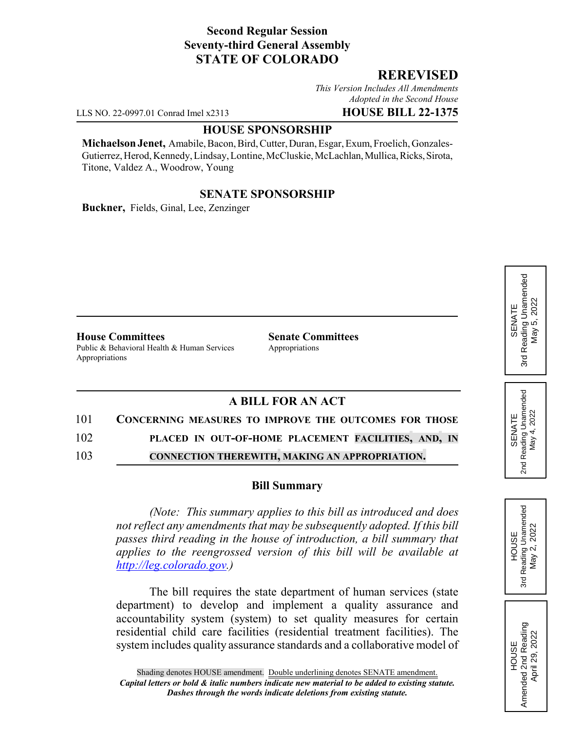## **Second Regular Session Seventy-third General Assembly STATE OF COLORADO**

#### **REREVISED**

*This Version Includes All Amendments Adopted in the Second House*

LLS NO. 22-0997.01 Conrad Imel x2313 **HOUSE BILL 22-1375**

#### **HOUSE SPONSORSHIP**

**Michaelson Jenet,** Amabile, Bacon, Bird, Cutter, Duran, Esgar, Exum, Froelich, Gonzales-Gutierrez, Herod, Kennedy, Lindsay, Lontine, McCluskie, McLachlan, Mullica, Ricks, Sirota, Titone, Valdez A., Woodrow, Young

## **SENATE SPONSORSHIP**

**Buckner,** Fields, Ginal, Lee, Zenzinger

**House Committees Senate Committees** Public & Behavioral Health & Human Services Appropriations Appropriations

# **A BILL FOR AN ACT**

# 101 **CONCERNING MEASURES TO IMPROVE THE OUTCOMES FOR THOSE**

102 **PLACED IN OUT-OF-HOME PLACEMENT FACILITIES, AND, IN**

103 **CONNECTION THEREWITH, MAKING AN APPROPRIATION.**

#### **Bill Summary**

*(Note: This summary applies to this bill as introduced and does not reflect any amendments that may be subsequently adopted. If this bill passes third reading in the house of introduction, a bill summary that applies to the reengrossed version of this bill will be available at http://leg.colorado.gov.)*

The bill requires the state department of human services (state department) to develop and implement a quality assurance and accountability system (system) to set quality measures for certain residential child care facilities (residential treatment facilities). The system includes quality assurance standards and a collaborative model of HOUSE<br>Reading Unamended<br>May 2, 2022 3rd Reading Unamended May 2, 2022 3rd

> HOUSE<br>Amended 2nd Reading Amended 2nd Reading April 29, 2022

April 29, 2022

SENATE 2nd Reading Unamended May 4, 2022

Reading Unamended<br>May 4, 2022

2<sub>nd</sub>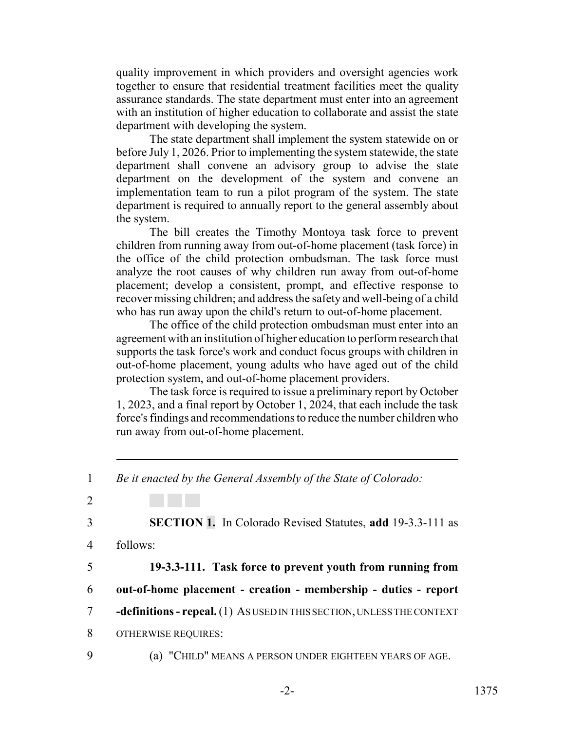quality improvement in which providers and oversight agencies work together to ensure that residential treatment facilities meet the quality assurance standards. The state department must enter into an agreement with an institution of higher education to collaborate and assist the state department with developing the system.

The state department shall implement the system statewide on or before July 1, 2026. Prior to implementing the system statewide, the state department shall convene an advisory group to advise the state department on the development of the system and convene an implementation team to run a pilot program of the system. The state department is required to annually report to the general assembly about the system.

The bill creates the Timothy Montoya task force to prevent children from running away from out-of-home placement (task force) in the office of the child protection ombudsman. The task force must analyze the root causes of why children run away from out-of-home placement; develop a consistent, prompt, and effective response to recover missing children; and address the safety and well-being of a child who has run away upon the child's return to out-of-home placement.

The office of the child protection ombudsman must enter into an agreement with an institution of higher education to perform research that supports the task force's work and conduct focus groups with children in out-of-home placement, young adults who have aged out of the child protection system, and out-of-home placement providers.

The task force is required to issue a preliminary report by October 1, 2023, and a final report by October 1, 2024, that each include the task force's findings and recommendations to reduce the number children who run away from out-of-home placement.

<sup>1</sup> *Be it enacted by the General Assembly of the State of Colorado:* 2 3 **SECTION 1.** In Colorado Revised Statutes, **add** 19-3.3-111 as 4 follows: 5 **19-3.3-111. Task force to prevent youth from running from** 6 **out-of-home placement - creation - membership - duties - report** 7 **-definitions - repeal.** (1) AS USED IN THIS SECTION, UNLESS THE CONTEXT 8 OTHERWISE REQUIRES: 9 (a) "CHILD" MEANS A PERSON UNDER EIGHTEEN YEARS OF AGE.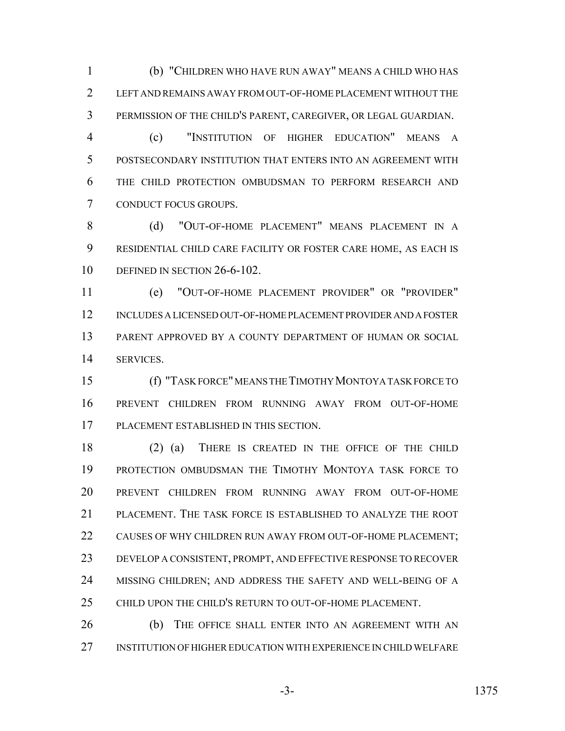(b) "CHILDREN WHO HAVE RUN AWAY" MEANS A CHILD WHO HAS LEFT AND REMAINS AWAY FROM OUT-OF-HOME PLACEMENT WITHOUT THE PERMISSION OF THE CHILD'S PARENT, CAREGIVER, OR LEGAL GUARDIAN.

 (c) "INSTITUTION OF HIGHER EDUCATION" MEANS A POSTSECONDARY INSTITUTION THAT ENTERS INTO AN AGREEMENT WITH THE CHILD PROTECTION OMBUDSMAN TO PERFORM RESEARCH AND CONDUCT FOCUS GROUPS.

8 (d) "OUT-OF-HOME PLACEMENT" MEANS PLACEMENT IN A RESIDENTIAL CHILD CARE FACILITY OR FOSTER CARE HOME, AS EACH IS 10 DEFINED IN SECTION 26-6-102.

 (e) "OUT-OF-HOME PLACEMENT PROVIDER" OR "PROVIDER" INCLUDES A LICENSED OUT-OF-HOME PLACEMENT PROVIDER AND A FOSTER PARENT APPROVED BY A COUNTY DEPARTMENT OF HUMAN OR SOCIAL SERVICES.

 (f) "TASK FORCE" MEANS THE TIMOTHY MONTOYA TASK FORCE TO PREVENT CHILDREN FROM RUNNING AWAY FROM OUT-OF-HOME PLACEMENT ESTABLISHED IN THIS SECTION.

 (2) (a) THERE IS CREATED IN THE OFFICE OF THE CHILD PROTECTION OMBUDSMAN THE TIMOTHY MONTOYA TASK FORCE TO PREVENT CHILDREN FROM RUNNING AWAY FROM OUT-OF-HOME PLACEMENT. THE TASK FORCE IS ESTABLISHED TO ANALYZE THE ROOT 22 CAUSES OF WHY CHILDREN RUN AWAY FROM OUT-OF-HOME PLACEMENT; DEVELOP A CONSISTENT, PROMPT, AND EFFECTIVE RESPONSE TO RECOVER 24 MISSING CHILDREN; AND ADDRESS THE SAFETY AND WELL-BEING OF A CHILD UPON THE CHILD'S RETURN TO OUT-OF-HOME PLACEMENT.

 (b) THE OFFICE SHALL ENTER INTO AN AGREEMENT WITH AN INSTITUTION OF HIGHER EDUCATION WITH EXPERIENCE IN CHILD WELFARE

-3- 1375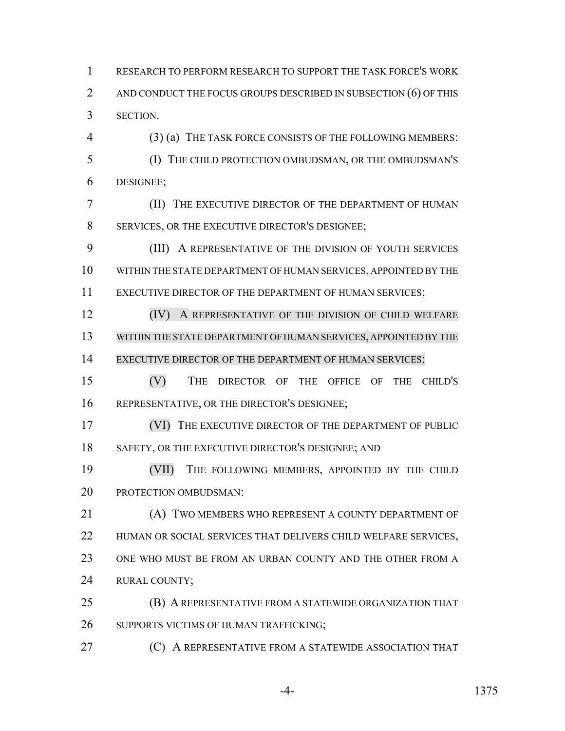RESEARCH TO PERFORM RESEARCH TO SUPPORT THE TASK FORCE'S WORK 2 AND CONDUCT THE FOCUS GROUPS DESCRIBED IN SUBSECTION (6) OF THIS SECTION.

 (3) (a) THE TASK FORCE CONSISTS OF THE FOLLOWING MEMBERS: (I) THE CHILD PROTECTION OMBUDSMAN, OR THE OMBUDSMAN'S DESIGNEE;

 (II) THE EXECUTIVE DIRECTOR OF THE DEPARTMENT OF HUMAN SERVICES, OR THE EXECUTIVE DIRECTOR'S DESIGNEE;

 (III) A REPRESENTATIVE OF THE DIVISION OF YOUTH SERVICES WITHIN THE STATE DEPARTMENT OF HUMAN SERVICES, APPOINTED BY THE 11 EXECUTIVE DIRECTOR OF THE DEPARTMENT OF HUMAN SERVICES;

**(IV)** A REPRESENTATIVE OF THE DIVISION OF CHILD WELFARE WITHIN THE STATE DEPARTMENT OF HUMAN SERVICES, APPOINTED BY THE 14 EXECUTIVE DIRECTOR OF THE DEPARTMENT OF HUMAN SERVICES;

 (V) THE DIRECTOR OF THE OFFICE OF THE CHILD'S REPRESENTATIVE, OR THE DIRECTOR'S DESIGNEE;

 (VI) THE EXECUTIVE DIRECTOR OF THE DEPARTMENT OF PUBLIC 18 SAFETY, OR THE EXECUTIVE DIRECTOR'S DESIGNEE; AND

 (VII) THE FOLLOWING MEMBERS, APPOINTED BY THE CHILD PROTECTION OMBUDSMAN:

**(A) TWO MEMBERS WHO REPRESENT A COUNTY DEPARTMENT OF**  HUMAN OR SOCIAL SERVICES THAT DELIVERS CHILD WELFARE SERVICES, ONE WHO MUST BE FROM AN URBAN COUNTY AND THE OTHER FROM A RURAL COUNTY;

 (B) A REPRESENTATIVE FROM A STATEWIDE ORGANIZATION THAT 26 SUPPORTS VICTIMS OF HUMAN TRAFFICKING;

**(C) A REPRESENTATIVE FROM A STATEWIDE ASSOCIATION THAT**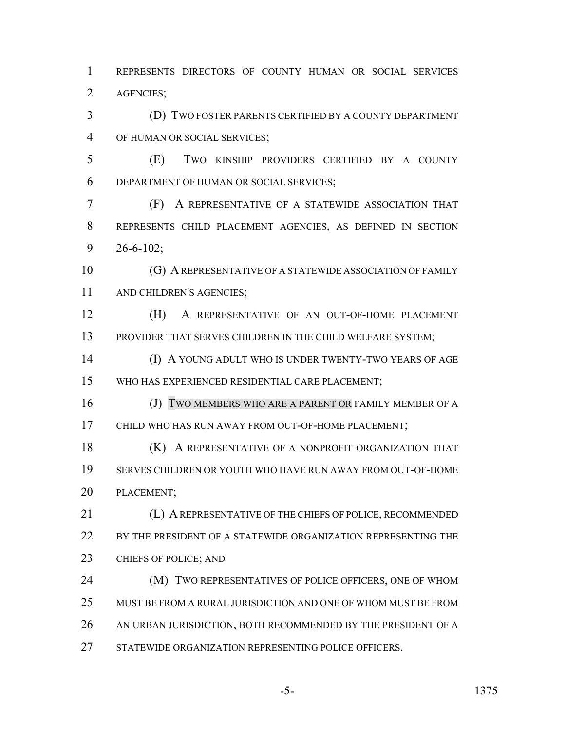REPRESENTS DIRECTORS OF COUNTY HUMAN OR SOCIAL SERVICES AGENCIES;

 (D) TWO FOSTER PARENTS CERTIFIED BY A COUNTY DEPARTMENT OF HUMAN OR SOCIAL SERVICES;

 (E) TWO KINSHIP PROVIDERS CERTIFIED BY A COUNTY DEPARTMENT OF HUMAN OR SOCIAL SERVICES;

 (F) A REPRESENTATIVE OF A STATEWIDE ASSOCIATION THAT REPRESENTS CHILD PLACEMENT AGENCIES, AS DEFINED IN SECTION 26-6-102;

10 (G) A REPRESENTATIVE OF A STATEWIDE ASSOCIATION OF FAMILY AND CHILDREN'S AGENCIES;

 (H) A REPRESENTATIVE OF AN OUT-OF-HOME PLACEMENT 13 PROVIDER THAT SERVES CHILDREN IN THE CHILD WELFARE SYSTEM;

 (I) A YOUNG ADULT WHO IS UNDER TWENTY-TWO YEARS OF AGE WHO HAS EXPERIENCED RESIDENTIAL CARE PLACEMENT;

16 (J) TWO MEMBERS WHO ARE A PARENT OR FAMILY MEMBER OF A CHILD WHO HAS RUN AWAY FROM OUT-OF-HOME PLACEMENT;

**(K)** A REPRESENTATIVE OF A NONPROFIT ORGANIZATION THAT SERVES CHILDREN OR YOUTH WHO HAVE RUN AWAY FROM OUT-OF-HOME PLACEMENT;

 (L) A REPRESENTATIVE OF THE CHIEFS OF POLICE, RECOMMENDED 22 BY THE PRESIDENT OF A STATEWIDE ORGANIZATION REPRESENTING THE 23 CHIEFS OF POLICE; AND

**(M) TWO REPRESENTATIVES OF POLICE OFFICERS, ONE OF WHOM**  MUST BE FROM A RURAL JURISDICTION AND ONE OF WHOM MUST BE FROM 26 AN URBAN JURISDICTION, BOTH RECOMMENDED BY THE PRESIDENT OF A 27 STATEWIDE ORGANIZATION REPRESENTING POLICE OFFICERS.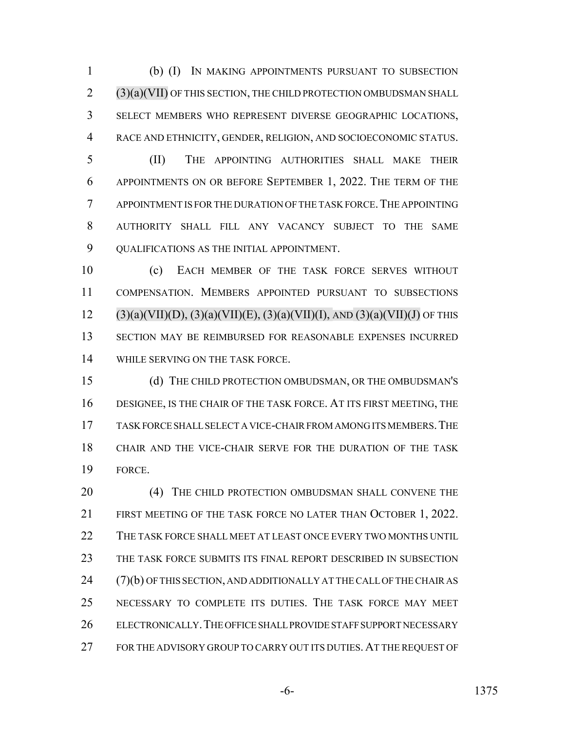(b) (I) IN MAKING APPOINTMENTS PURSUANT TO SUBSECTION (3)(a)(VII) OF THIS SECTION, THE CHILD PROTECTION OMBUDSMAN SHALL SELECT MEMBERS WHO REPRESENT DIVERSE GEOGRAPHIC LOCATIONS, RACE AND ETHNICITY, GENDER, RELIGION, AND SOCIOECONOMIC STATUS.

 (II) THE APPOINTING AUTHORITIES SHALL MAKE THEIR APPOINTMENTS ON OR BEFORE SEPTEMBER 1, 2022. THE TERM OF THE APPOINTMENT IS FOR THE DURATION OF THE TASK FORCE.THE APPOINTING AUTHORITY SHALL FILL ANY VACANCY SUBJECT TO THE SAME QUALIFICATIONS AS THE INITIAL APPOINTMENT.

 (c) EACH MEMBER OF THE TASK FORCE SERVES WITHOUT COMPENSATION. MEMBERS APPOINTED PURSUANT TO SUBSECTIONS 12 (3)(a)(VII)(D), (3)(a)(VII)(E), (3)(a)(VII)(I), AND (3)(a)(VII)(J) OF THIS SECTION MAY BE REIMBURSED FOR REASONABLE EXPENSES INCURRED WHILE SERVING ON THE TASK FORCE.

 (d) THE CHILD PROTECTION OMBUDSMAN, OR THE OMBUDSMAN'S DESIGNEE, IS THE CHAIR OF THE TASK FORCE. AT ITS FIRST MEETING, THE TASK FORCE SHALL SELECT A VICE-CHAIR FROM AMONG ITS MEMBERS.THE CHAIR AND THE VICE-CHAIR SERVE FOR THE DURATION OF THE TASK FORCE.

20 (4) THE CHILD PROTECTION OMBUDSMAN SHALL CONVENE THE FIRST MEETING OF THE TASK FORCE NO LATER THAN OCTOBER 1, 2022. THE TASK FORCE SHALL MEET AT LEAST ONCE EVERY TWO MONTHS UNTIL THE TASK FORCE SUBMITS ITS FINAL REPORT DESCRIBED IN SUBSECTION (7)(b) OF THIS SECTION, AND ADDITIONALLY AT THE CALL OF THE CHAIR AS NECESSARY TO COMPLETE ITS DUTIES. THE TASK FORCE MAY MEET ELECTRONICALLY.THE OFFICE SHALL PROVIDE STAFF SUPPORT NECESSARY 27 FOR THE ADVISORY GROUP TO CARRY OUT ITS DUTIES. AT THE REQUEST OF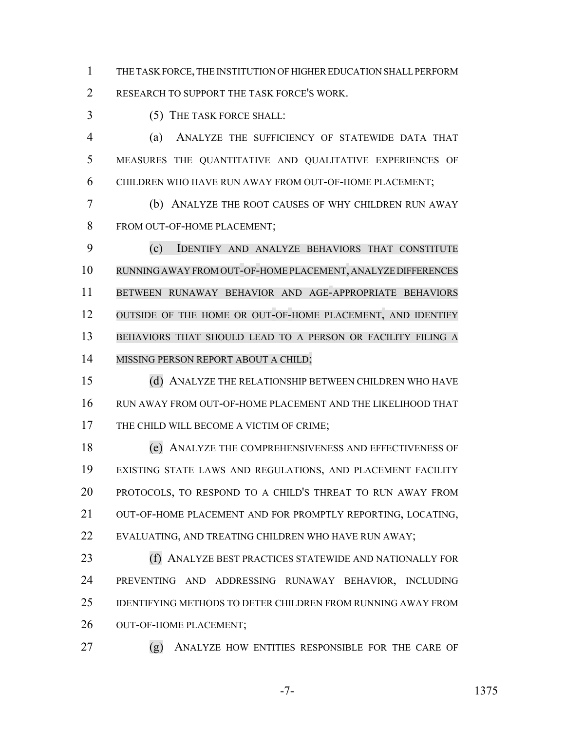THE TASK FORCE, THE INSTITUTION OF HIGHER EDUCATION SHALL PERFORM RESEARCH TO SUPPORT THE TASK FORCE'S WORK.

(5) THE TASK FORCE SHALL:

 (a) ANALYZE THE SUFFICIENCY OF STATEWIDE DATA THAT MEASURES THE QUANTITATIVE AND QUALITATIVE EXPERIENCES OF CHILDREN WHO HAVE RUN AWAY FROM OUT-OF-HOME PLACEMENT;

 (b) ANALYZE THE ROOT CAUSES OF WHY CHILDREN RUN AWAY FROM OUT-OF-HOME PLACEMENT;

 (c) IDENTIFY AND ANALYZE BEHAVIORS THAT CONSTITUTE RUNNING AWAY FROM OUT-OF-HOME PLACEMENT, ANALYZE DIFFERENCES BETWEEN RUNAWAY BEHAVIOR AND AGE-APPROPRIATE BEHAVIORS 12 OUTSIDE OF THE HOME OR OUT-OF-HOME PLACEMENT, AND IDENTIFY BEHAVIORS THAT SHOULD LEAD TO A PERSON OR FACILITY FILING A 14 MISSING PERSON REPORT ABOUT A CHILD;

 (d) ANALYZE THE RELATIONSHIP BETWEEN CHILDREN WHO HAVE RUN AWAY FROM OUT-OF-HOME PLACEMENT AND THE LIKELIHOOD THAT 17 THE CHILD WILL BECOME A VICTIM OF CRIME;

 (e) ANALYZE THE COMPREHENSIVENESS AND EFFECTIVENESS OF EXISTING STATE LAWS AND REGULATIONS, AND PLACEMENT FACILITY PROTOCOLS, TO RESPOND TO A CHILD'S THREAT TO RUN AWAY FROM 21 OUT-OF-HOME PLACEMENT AND FOR PROMPTLY REPORTING, LOCATING, 22 EVALUATING, AND TREATING CHILDREN WHO HAVE RUN AWAY;

 (f) ANALYZE BEST PRACTICES STATEWIDE AND NATIONALLY FOR PREVENTING AND ADDRESSING RUNAWAY BEHAVIOR, INCLUDING IDENTIFYING METHODS TO DETER CHILDREN FROM RUNNING AWAY FROM OUT-OF-HOME PLACEMENT;

(g) ANALYZE HOW ENTITIES RESPONSIBLE FOR THE CARE OF

-7- 1375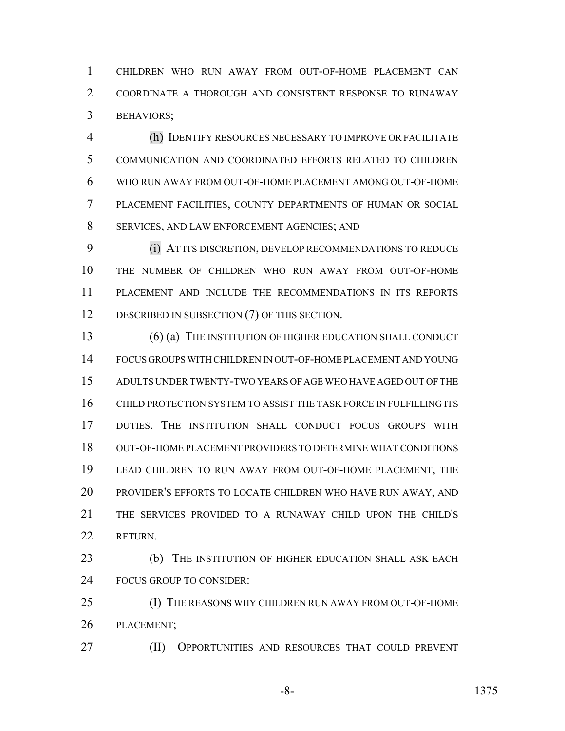CHILDREN WHO RUN AWAY FROM OUT-OF-HOME PLACEMENT CAN COORDINATE A THOROUGH AND CONSISTENT RESPONSE TO RUNAWAY BEHAVIORS;

 (h) IDENTIFY RESOURCES NECESSARY TO IMPROVE OR FACILITATE COMMUNICATION AND COORDINATED EFFORTS RELATED TO CHILDREN WHO RUN AWAY FROM OUT-OF-HOME PLACEMENT AMONG OUT-OF-HOME PLACEMENT FACILITIES, COUNTY DEPARTMENTS OF HUMAN OR SOCIAL SERVICES, AND LAW ENFORCEMENT AGENCIES; AND

 (i) AT ITS DISCRETION, DEVELOP RECOMMENDATIONS TO REDUCE THE NUMBER OF CHILDREN WHO RUN AWAY FROM OUT-OF-HOME PLACEMENT AND INCLUDE THE RECOMMENDATIONS IN ITS REPORTS 12 DESCRIBED IN SUBSECTION (7) OF THIS SECTION.

13 (6) (a) THE INSTITUTION OF HIGHER EDUCATION SHALL CONDUCT FOCUS GROUPS WITH CHILDREN IN OUT-OF-HOME PLACEMENT AND YOUNG ADULTS UNDER TWENTY-TWO YEARS OF AGE WHO HAVE AGED OUT OF THE CHILD PROTECTION SYSTEM TO ASSIST THE TASK FORCE IN FULFILLING ITS DUTIES. THE INSTITUTION SHALL CONDUCT FOCUS GROUPS WITH OUT-OF-HOME PLACEMENT PROVIDERS TO DETERMINE WHAT CONDITIONS LEAD CHILDREN TO RUN AWAY FROM OUT-OF-HOME PLACEMENT, THE PROVIDER'S EFFORTS TO LOCATE CHILDREN WHO HAVE RUN AWAY, AND THE SERVICES PROVIDED TO A RUNAWAY CHILD UPON THE CHILD'S RETURN.

**(b)** THE INSTITUTION OF HIGHER EDUCATION SHALL ASK EACH FOCUS GROUP TO CONSIDER:

 (I) THE REASONS WHY CHILDREN RUN AWAY FROM OUT-OF-HOME PLACEMENT;

(II) OPPORTUNITIES AND RESOURCES THAT COULD PREVENT

-8- 1375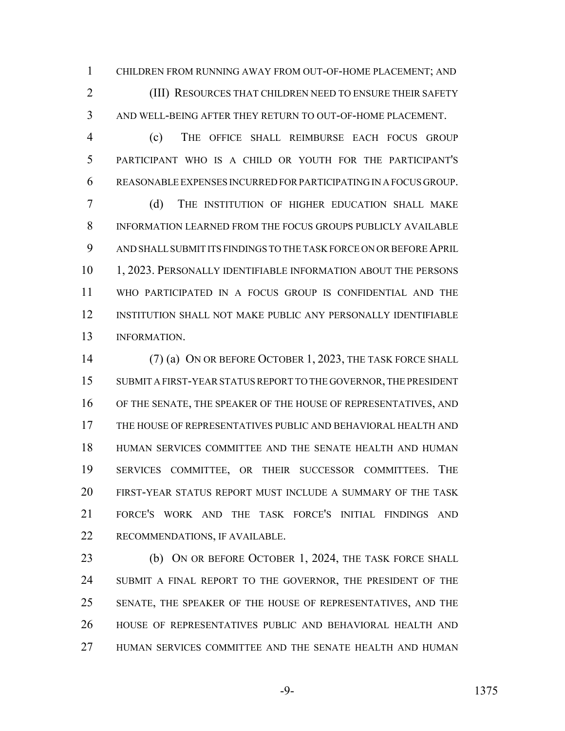CHILDREN FROM RUNNING AWAY FROM OUT-OF-HOME PLACEMENT; AND **(III) RESOURCES THAT CHILDREN NEED TO ENSURE THEIR SAFETY** AND WELL-BEING AFTER THEY RETURN TO OUT-OF-HOME PLACEMENT.

 (c) THE OFFICE SHALL REIMBURSE EACH FOCUS GROUP PARTICIPANT WHO IS A CHILD OR YOUTH FOR THE PARTICIPANT'S REASONABLE EXPENSES INCURRED FOR PARTICIPATING IN A FOCUS GROUP.

 (d) THE INSTITUTION OF HIGHER EDUCATION SHALL MAKE INFORMATION LEARNED FROM THE FOCUS GROUPS PUBLICLY AVAILABLE AND SHALL SUBMIT ITS FINDINGS TO THE TASK FORCE ON OR BEFORE APRIL 1, 2023. PERSONALLY IDENTIFIABLE INFORMATION ABOUT THE PERSONS WHO PARTICIPATED IN A FOCUS GROUP IS CONFIDENTIAL AND THE INSTITUTION SHALL NOT MAKE PUBLIC ANY PERSONALLY IDENTIFIABLE INFORMATION.

 (7) (a) ON OR BEFORE OCTOBER 1, 2023, THE TASK FORCE SHALL SUBMIT A FIRST-YEAR STATUS REPORT TO THE GOVERNOR, THE PRESIDENT OF THE SENATE, THE SPEAKER OF THE HOUSE OF REPRESENTATIVES, AND THE HOUSE OF REPRESENTATIVES PUBLIC AND BEHAVIORAL HEALTH AND HUMAN SERVICES COMMITTEE AND THE SENATE HEALTH AND HUMAN SERVICES COMMITTEE, OR THEIR SUCCESSOR COMMITTEES. THE FIRST-YEAR STATUS REPORT MUST INCLUDE A SUMMARY OF THE TASK FORCE'S WORK AND THE TASK FORCE'S INITIAL FINDINGS AND RECOMMENDATIONS, IF AVAILABLE.

23 (b) ON OR BEFORE OCTOBER 1, 2024, THE TASK FORCE SHALL 24 SUBMIT A FINAL REPORT TO THE GOVERNOR, THE PRESIDENT OF THE SENATE, THE SPEAKER OF THE HOUSE OF REPRESENTATIVES, AND THE HOUSE OF REPRESENTATIVES PUBLIC AND BEHAVIORAL HEALTH AND HUMAN SERVICES COMMITTEE AND THE SENATE HEALTH AND HUMAN